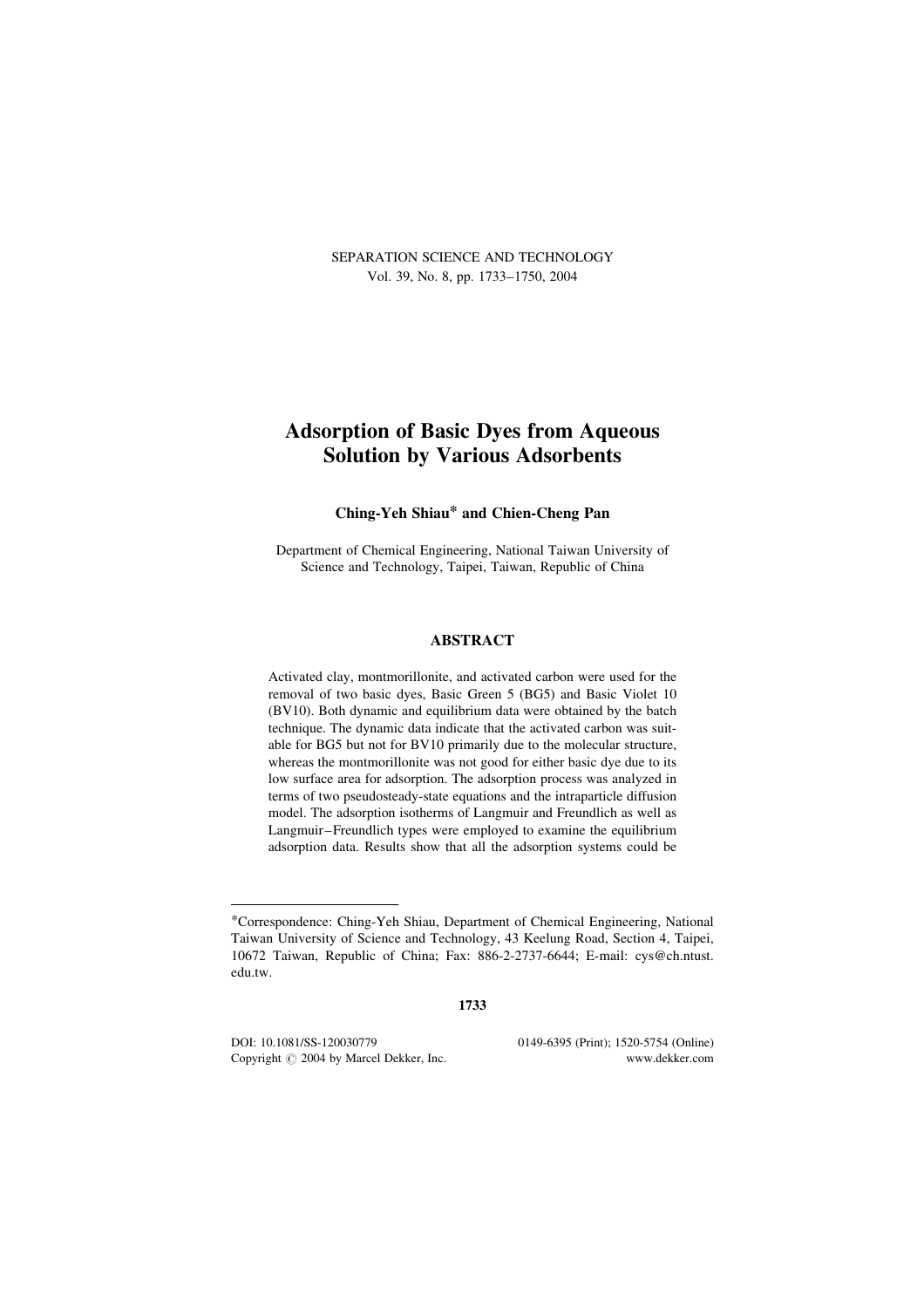SEPARATION SCIENCE AND TECHNOLOGY Vol. 39, No. 8, pp. 1733–1750, 2004

# Adsorption of Basic Dyes from Aqueous Solution by Various Adsorbents

# Ching-Yeh Shiau\* and Chien-Cheng Pan

Department of Chemical Engineering, National Taiwan University of Science and Technology, Taipei, Taiwan, Republic of China

# ABSTRACT

Activated clay, montmorillonite, and activated carbon were used for the removal of two basic dyes, Basic Green 5 (BG5) and Basic Violet 10 (BV10). Both dynamic and equilibrium data were obtained by the batch technique. The dynamic data indicate that the activated carbon was suitable for BG5 but not for BV10 primarily due to the molecular structure, whereas the montmorillonite was not good for either basic dye due to its low surface area for adsorption. The adsorption process was analyzed in terms of two pseudosteady-state equations and the intraparticle diffusion model. The adsorption isotherms of Langmuir and Freundlich as well as Langmuir–Freundlich types were employed to examine the equilibrium adsorption data. Results show that all the adsorption systems could be

1733

DOI: 10.1081/SS-120030779 0149-6395 (Print); 1520-5754 (Online) Copyright  $\odot$  2004 by Marcel Dekker, Inc. www.dekker.com

<sup>\*</sup>Correspondence: Ching-Yeh Shiau, Department of Chemical Engineering, National Taiwan University of Science and Technology, 43 Keelung Road, Section 4, Taipei, 10672 Taiwan, Republic of China; Fax: 886-2-2737-6644; E-mail: cys@ch.ntust. edu.tw.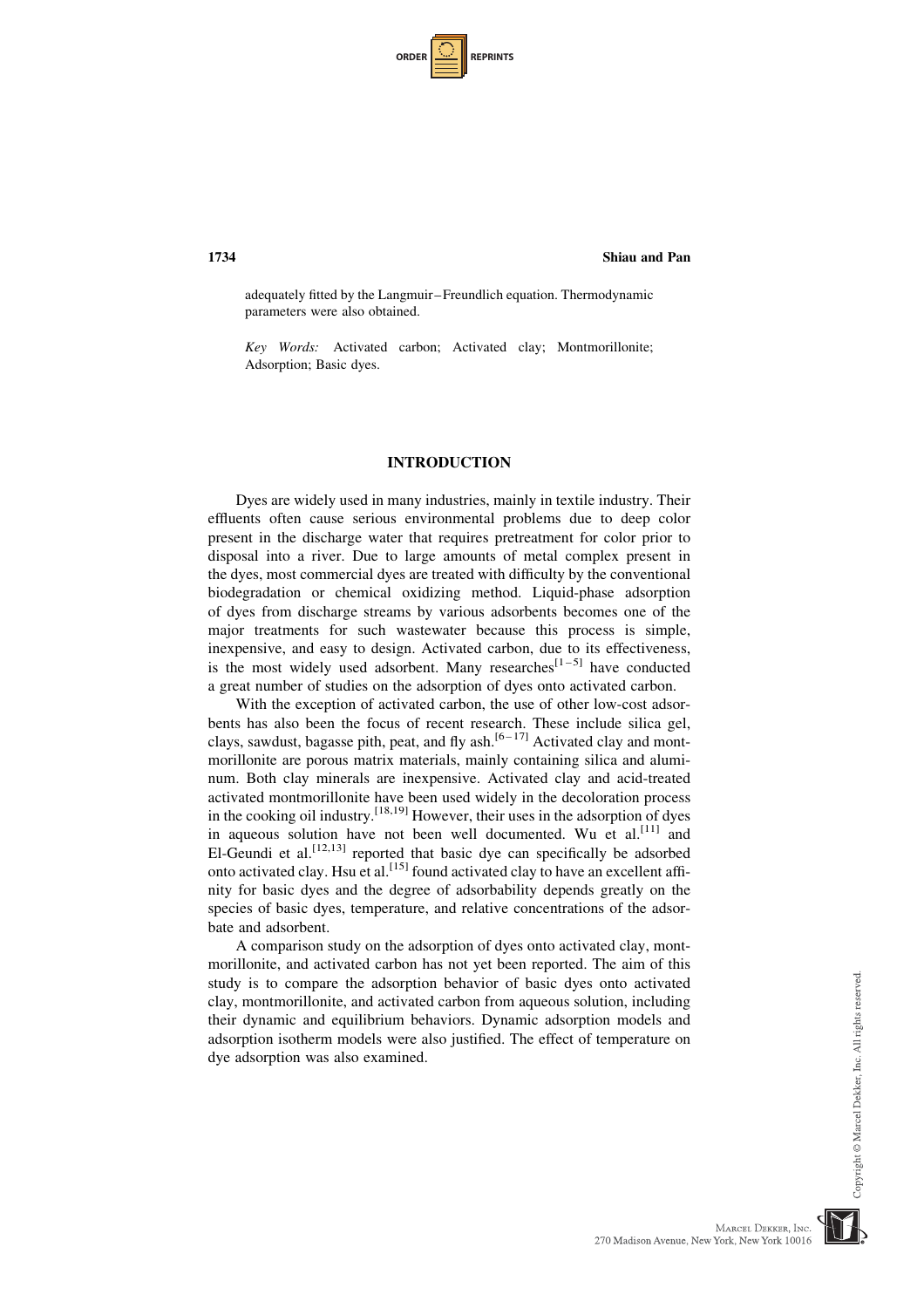| <b>ORDER</b> I<br><b>REPRINTS</b> |  |
|-----------------------------------|--|
|-----------------------------------|--|

adequately fitted by the Langmuir–Freundlich equation. Thermodynamic parameters were also obtained.

Key Words: Activated carbon; Activated clay; Montmorillonite; Adsorption; Basic dyes.

#### INTRODUCTION

Dyes are widely used in many industries, mainly in textile industry. Their effluents often cause serious environmental problems due to deep color present in the discharge water that requires pretreatment for color prior to disposal into a river. Due to large amounts of metal complex present in the dyes, most commercial dyes are treated with difficulty by the conventional biodegradation or chemical oxidizing method. Liquid-phase adsorption of dyes from discharge streams by various adsorbents becomes one of the major treatments for such wastewater because this process is simple, inexpensive, and easy to design. Activated carbon, due to its effectiveness, is the most widely used adsorbent. Many researches<sup>[1-5]</sup> have conducted a great number of studies on the adsorption of dyes onto activated carbon.

With the exception of activated carbon, the use of other low-cost adsorbents has also been the focus of recent research. These include silica gel, clays, sawdust, bagasse pith, peat, and fly ash.<sup>[6-17]</sup> Activated clay and montmorillonite are porous matrix materials, mainly containing silica and aluminum. Both clay minerals are inexpensive. Activated clay and acid-treated activated montmorillonite have been used widely in the decoloration process in the cooking oil industry.  $[18,19]$  However, their uses in the adsorption of dyes in aqueous solution have not been well documented. Wu et  $al$ <sup>[11]</sup> and El-Geundi et al.<sup>[12,13]</sup> reported that basic dye can specifically be adsorbed onto activated clay. Hsu et al.<sup>[15]</sup> found activated clay to have an excellent affinity for basic dyes and the degree of adsorbability depends greatly on the species of basic dyes, temperature, and relative concentrations of the adsorbate and adsorbent.

A comparison study on the adsorption of dyes onto activated clay, montmorillonite, and activated carbon has not yet been reported. The aim of this study is to compare the adsorption behavior of basic dyes onto activated clay, montmorillonite, and activated carbon from aqueous solution, including their dynamic and equilibrium behaviors. Dynamic adsorption models and adsorption isotherm models were also justified. The effect of temperature on dye adsorption was also examined.

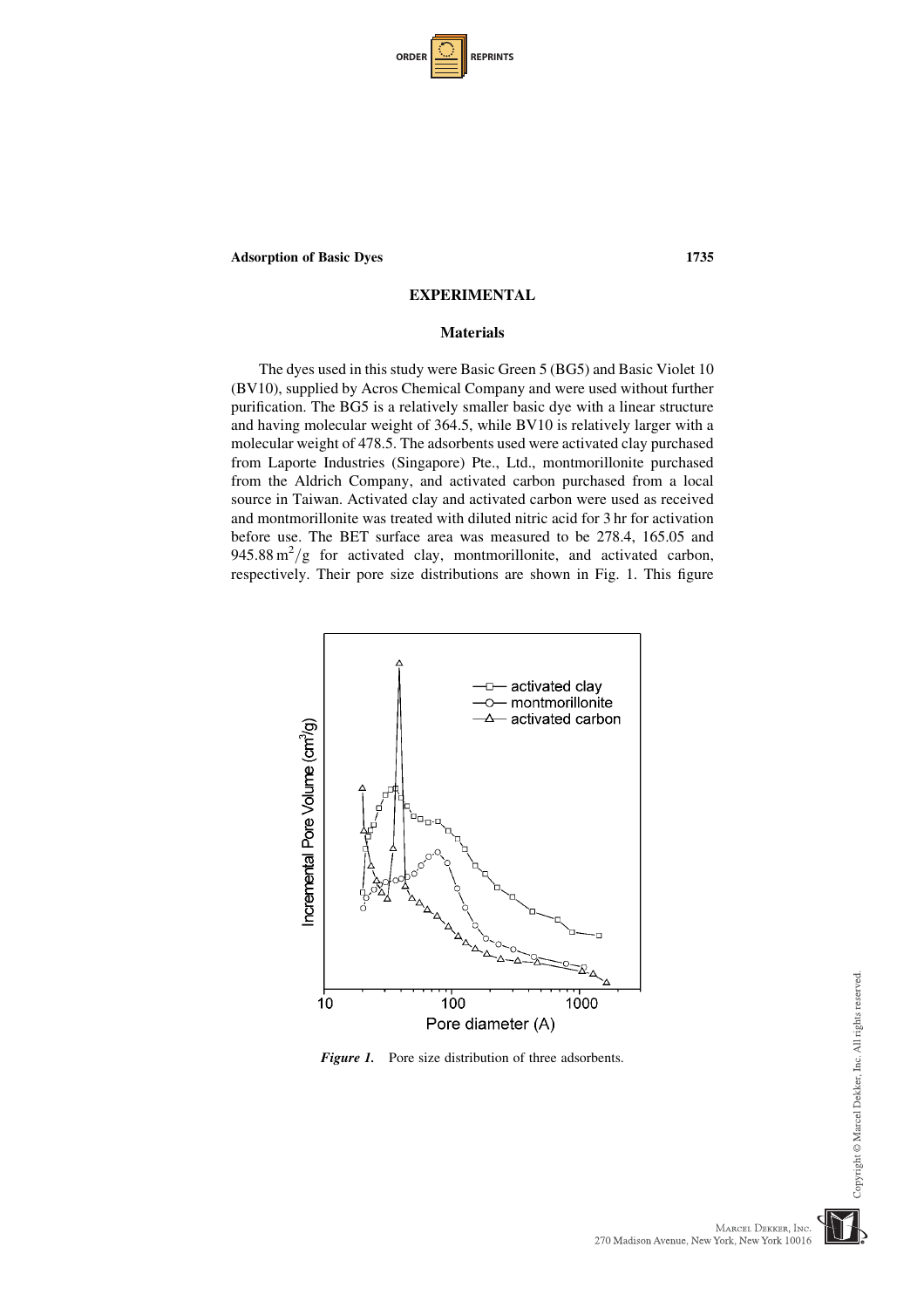| <b>ORDER</b> |  | <b>REPRINTS</b> |
|--------------|--|-----------------|
|--------------|--|-----------------|

# EXPERIMENTAL

# **Materials**

The dyes used in this study were Basic Green 5 (BG5) and Basic Violet 10 (BV10), supplied by Acros Chemical Company and were used without further purification. The BG5 is a relatively smaller basic dye with a linear structure and having molecular weight of 364.5, while BV10 is relatively larger with a molecular weight of 478.5. The adsorbents used were activated clay purchased from Laporte Industries (Singapore) Pte., Ltd., montmorillonite purchased from the Aldrich Company, and activated carbon purchased from a local source in Taiwan. Activated clay and activated carbon were used as received and montmorillonite was treated with diluted nitric acid for 3 hr for activation before use. The BET surface area was measured to be 278.4, 165.05 and  $945.88 \text{ m}^2/\text{g}$  for activated clay, montmorillonite, and activated carbon, respectively. Their pore size distributions are shown in Fig. 1. This figure



Figure 1. Pore size distribution of three adsorbents.

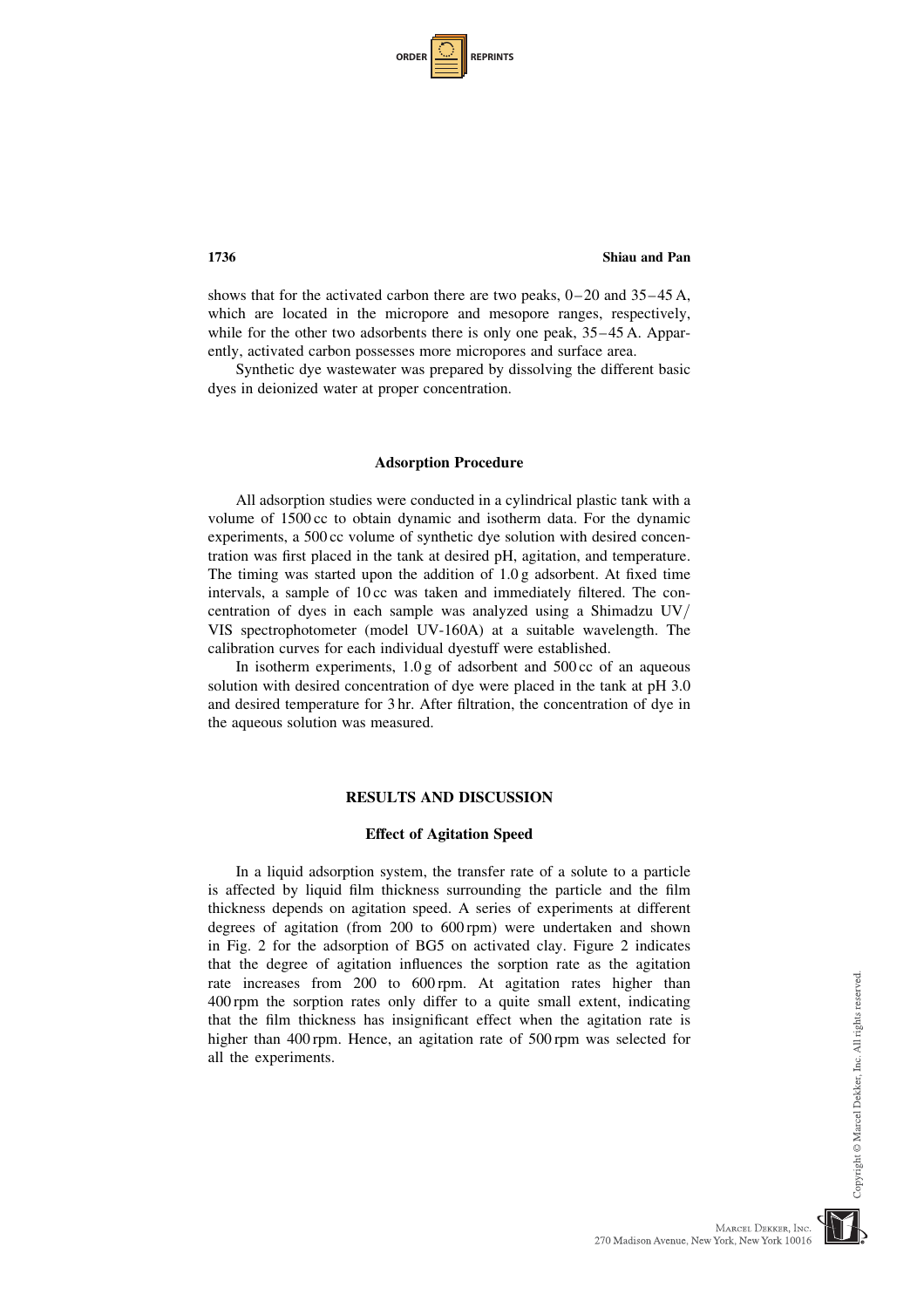| <b>ORDER</b> |  | <b>REPRINTS</b> |
|--------------|--|-----------------|
|--------------|--|-----------------|

shows that for the activated carbon there are two peaks, 0–20 and 35–45 A, which are located in the micropore and mesopore ranges, respectively, while for the other two adsorbents there is only one peak,  $35-45$  A. Apparently, activated carbon possesses more micropores and surface area.

Synthetic dye wastewater was prepared by dissolving the different basic dyes in deionized water at proper concentration.

#### Adsorption Procedure

All adsorption studies were conducted in a cylindrical plastic tank with a volume of 1500 cc to obtain dynamic and isotherm data. For the dynamic experiments, a 500 cc volume of synthetic dye solution with desired concentration was first placed in the tank at desired pH, agitation, and temperature. The timing was started upon the addition of 1.0 g adsorbent. At fixed time intervals, a sample of 10 cc was taken and immediately filtered. The concentration of dyes in each sample was analyzed using a Shimadzu UV/ VIS spectrophotometer (model UV-160A) at a suitable wavelength. The calibration curves for each individual dyestuff were established.

In isotherm experiments,  $1.0 g$  of adsorbent and  $500 c$  of an aqueous solution with desired concentration of dye were placed in the tank at pH 3.0 and desired temperature for 3 hr. After filtration, the concentration of dye in the aqueous solution was measured.

#### RESULTS AND DISCUSSION

#### Effect of Agitation Speed

In a liquid adsorption system, the transfer rate of a solute to a particle is affected by liquid film thickness surrounding the particle and the film thickness depends on agitation speed. A series of experiments at different degrees of agitation (from 200 to 600 rpm) were undertaken and shown in Fig. 2 for the adsorption of BG5 on activated clay. Figure 2 indicates that the degree of agitation influences the sorption rate as the agitation rate increases from 200 to 600 rpm. At agitation rates higher than 400 rpm the sorption rates only differ to a quite small extent, indicating that the film thickness has insignificant effect when the agitation rate is higher than 400 rpm. Hence, an agitation rate of 500 rpm was selected for all the experiments.

Copyright © Marcel Dekker, Inc. All rights reserved

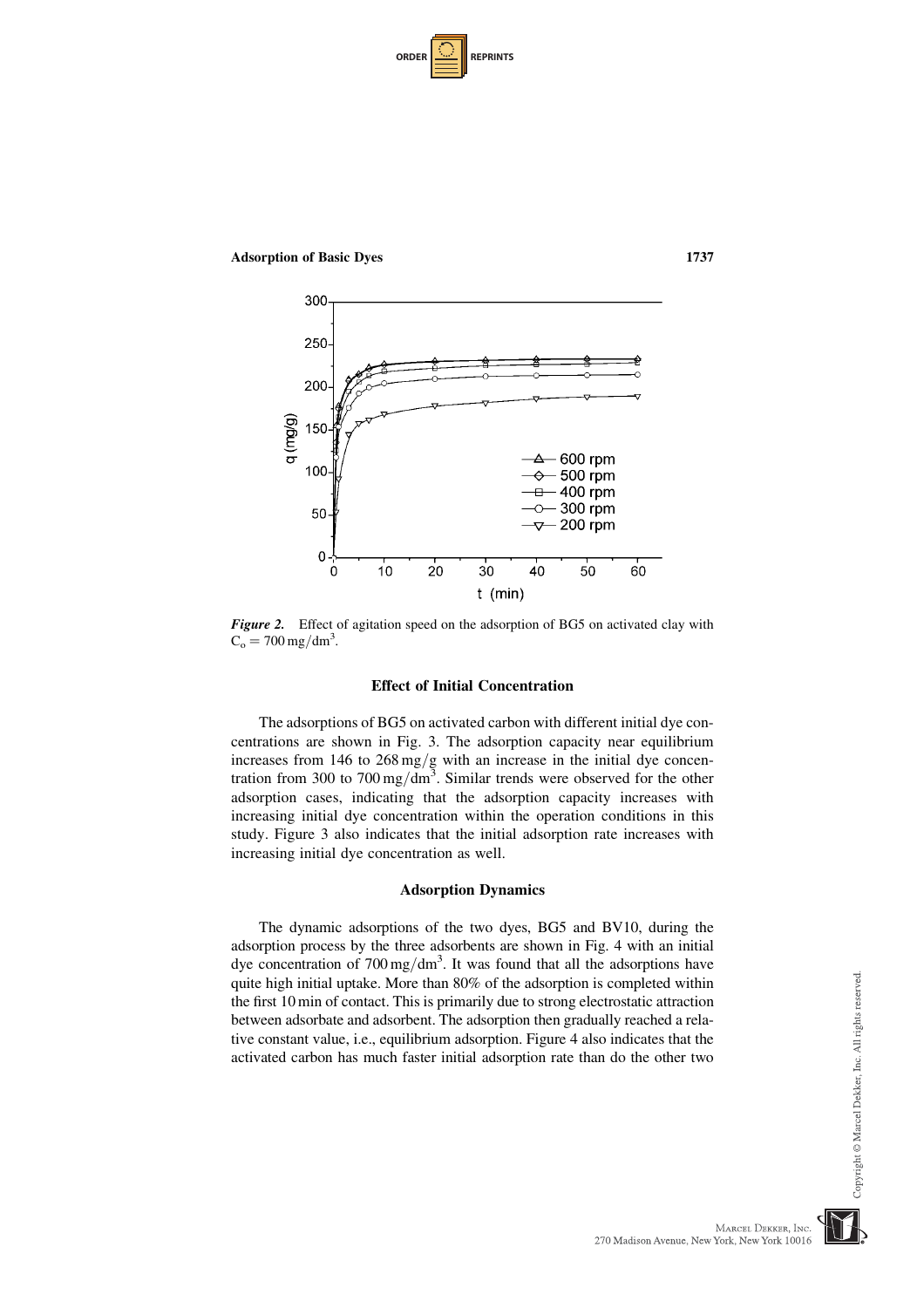| <b>ORDER</b> |  | <b>REPRINTS</b> |
|--------------|--|-----------------|
|--------------|--|-----------------|

Adsorption of Basic Dyes 1737



Figure 2. Effect of agitation speed on the adsorption of BG5 on activated clay with  $C_o = 700 \,\text{mg/dm}^3$ .

#### Effect of Initial Concentration

The adsorptions of BG5 on activated carbon with different initial dye concentrations are shown in Fig. 3. The adsorption capacity near equilibrium increases from  $146$  to  $268 \text{ mg/g}$  with an increase in the initial dye concentration from 300 to  $700 \,\text{mg/dm}^3$ . Similar trends were observed for the other adsorption cases, indicating that the adsorption capacity increases with increasing initial dye concentration within the operation conditions in this study. Figure 3 also indicates that the initial adsorption rate increases with increasing initial dye concentration as well.

# Adsorption Dynamics

The dynamic adsorptions of the two dyes, BG5 and BV10, during the adsorption process by the three adsorbents are shown in Fig. 4 with an initial dye concentration of  $700 \,\text{mg/dm}^3$ . It was found that all the adsorptions have quite high initial uptake. More than 80% of the adsorption is completed within the first 10 min of contact. This is primarily due to strong electrostatic attraction between adsorbate and adsorbent. The adsorption then gradually reached a relative constant value, i.e., equilibrium adsorption. Figure 4 also indicates that the activated carbon has much faster initial adsorption rate than do the other two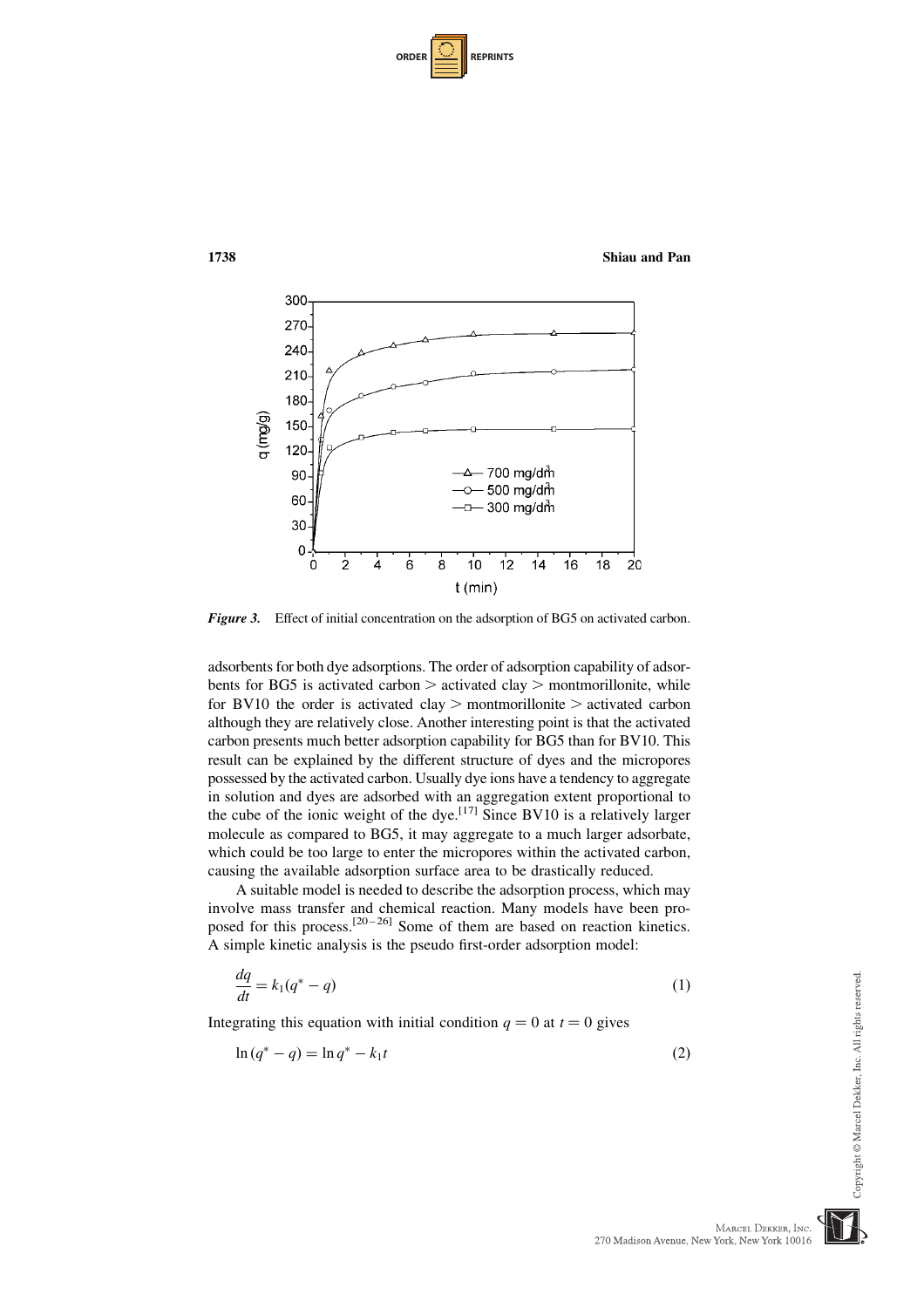| <b>ORDER</b> |  | <b>REPRINTS</b> |
|--------------|--|-----------------|
|--------------|--|-----------------|



Figure 3. Effect of initial concentration on the adsorption of BG5 on activated carbon.

adsorbents for both dye adsorptions. The order of adsorption capability of adsorbents for BG5 is activated carbon  $>$  activated clay  $>$  montmorillonite, while for BV10 the order is activated clay  $>$  montmorillonite  $>$  activated carbon although they are relatively close. Another interesting point is that the activated carbon presents much better adsorption capability for BG5 than for BV10. This result can be explained by the different structure of dyes and the micropores possessed by the activated carbon. Usually dye ions have a tendency to aggregate in solution and dyes are adsorbed with an aggregation extent proportional to the cube of the ionic weight of the dye.<sup>[17]</sup> Since BV10 is a relatively larger molecule as compared to BG5, it may aggregate to a much larger adsorbate, which could be too large to enter the micropores within the activated carbon, causing the available adsorption surface area to be drastically reduced.

A suitable model is needed to describe the adsorption process, which may involve mass transfer and chemical reaction. Many models have been proposed for this process.<sup>[20-26]</sup> Some of them are based on reaction kinetics. A simple kinetic analysis is the pseudo first-order adsorption model:

$$
\frac{dq}{dt} = k_1(q^* - q) \tag{1}
$$

Integrating this equation with initial condition  $q = 0$  at  $t = 0$  gives

$$
\ln(q^* - q) = \ln q^* - k_1 t \tag{2}
$$

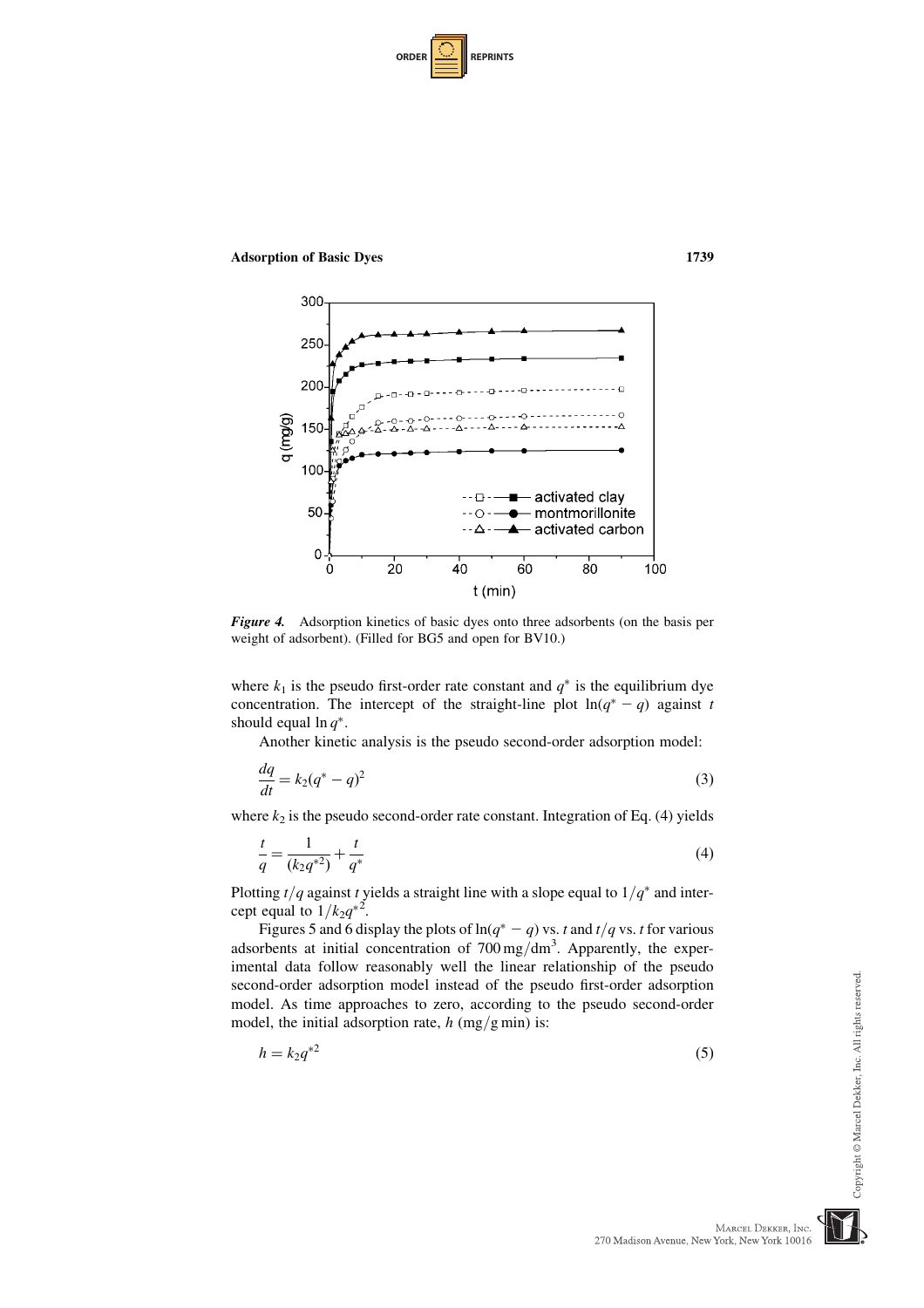| <b>ORDER</b> |  | <b>REPRINTS</b> |
|--------------|--|-----------------|
|--------------|--|-----------------|





Figure 4. Adsorption kinetics of basic dyes onto three adsorbents (on the basis per weight of adsorbent). (Filled for BG5 and open for BV10.)

where  $k_1$  is the pseudo first-order rate constant and  $q^*$  is the equilibrium dye concentration. The intercept of the straight-line plot  $ln(q^* - q)$  against t should equal  $\ln q^*$ .

Another kinetic analysis is the pseudo second-order adsorption model:

$$
\frac{dq}{dt} = k_2(q^* - q)^2\tag{3}
$$

where  $k_2$  is the pseudo second-order rate constant. Integration of Eq. (4) yields

$$
\frac{t}{q} = \frac{1}{(k_2 q^{*2})} + \frac{t}{q^*}
$$
\n(4)

Plotting  $t/q$  against t yields a straight line with a slope equal to  $1/q^*$  and intercept equal to  $1/k_2q^{*2}$ .

Figures 5 and 6 display the plots of  $ln(q^* - q)$  vs. t and  $t/q$  vs. t for various adsorbents at initial concentration of  $700 \,\text{mg/dm}^3$ . Apparently, the experimental data follow reasonably well the linear relationship of the pseudo second-order adsorption model instead of the pseudo first-order adsorption model. As time approaches to zero, according to the pseudo second-order model, the initial adsorption rate,  $h$  (mg/g min) is:

 $h = k_2 q^{2}$  (5)

MARCEL DEKKER, INC

270 Madison Avenue, New York, New York 10016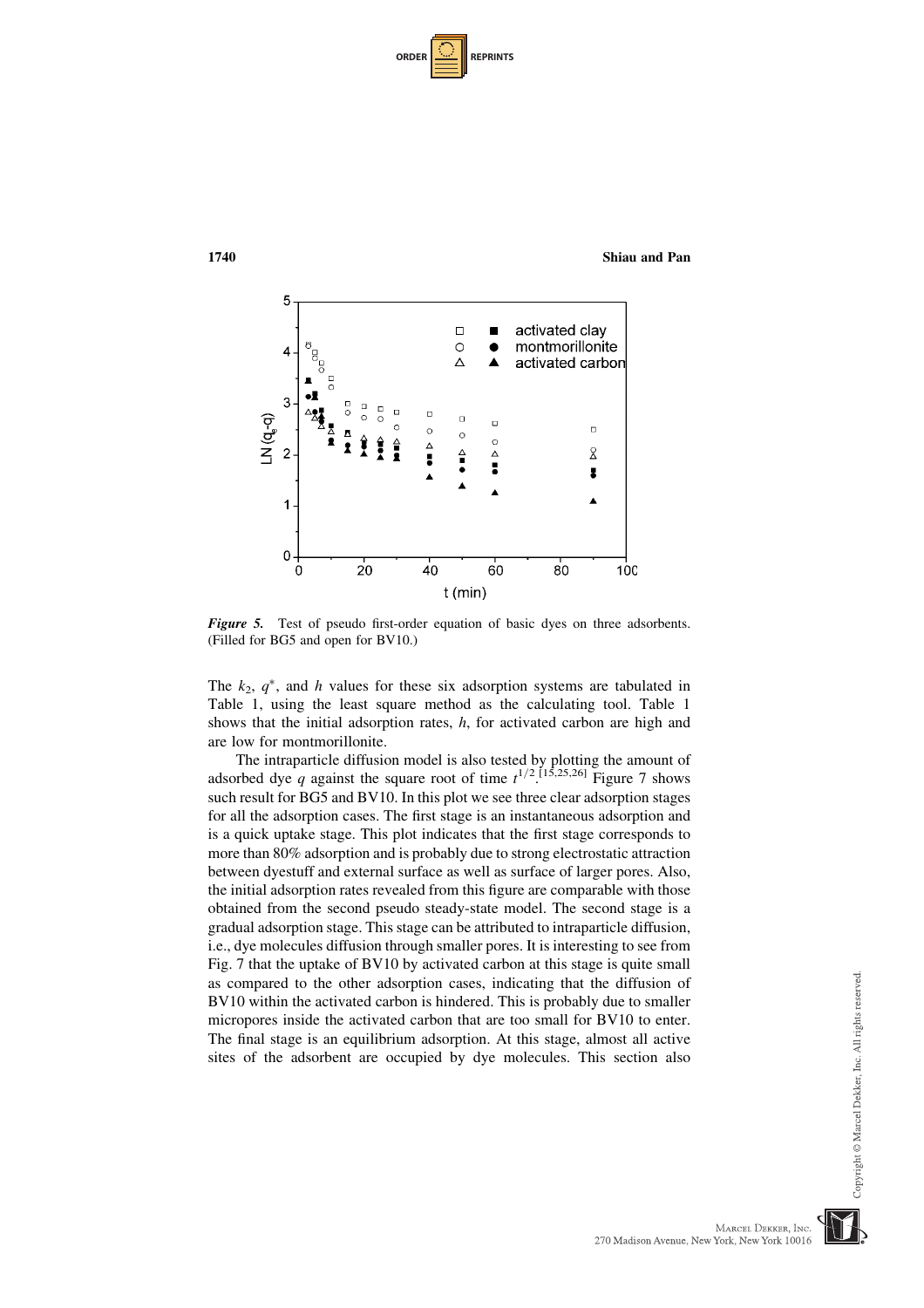| <b>ORDER</b> |  | <b>REPRINTS</b> |
|--------------|--|-----------------|
|--------------|--|-----------------|



Figure 5. Test of pseudo first-order equation of basic dyes on three adsorbents. (Filled for BG5 and open for BV10.)

The  $k_2$ ,  $q^*$ , and h values for these six adsorption systems are tabulated in Table 1, using the least square method as the calculating tool. Table 1 shows that the initial adsorption rates,  $h$ , for activated carbon are high and are low for montmorillonite.

The intraparticle diffusion model is also tested by plotting the amount of adsorbed dye q against the square root of time  $t^{1/2}$  [15,25,26] Figure 7 shows such result for BG5 and BV10. In this plot we see three clear adsorption stages for all the adsorption cases. The first stage is an instantaneous adsorption and is a quick uptake stage. This plot indicates that the first stage corresponds to more than 80% adsorption and is probably due to strong electrostatic attraction between dyestuff and external surface as well as surface of larger pores. Also, the initial adsorption rates revealed from this figure are comparable with those obtained from the second pseudo steady-state model. The second stage is a gradual adsorption stage. This stage can be attributed to intraparticle diffusion, i.e., dye molecules diffusion through smaller pores. It is interesting to see from Fig. 7 that the uptake of BV10 by activated carbon at this stage is quite small as compared to the other adsorption cases, indicating that the diffusion of BV10 within the activated carbon is hindered. This is probably due to smaller micropores inside the activated carbon that are too small for BV10 to enter. The final stage is an equilibrium adsorption. At this stage, almost all active sites of the adsorbent are occupied by dye molecules. This section also



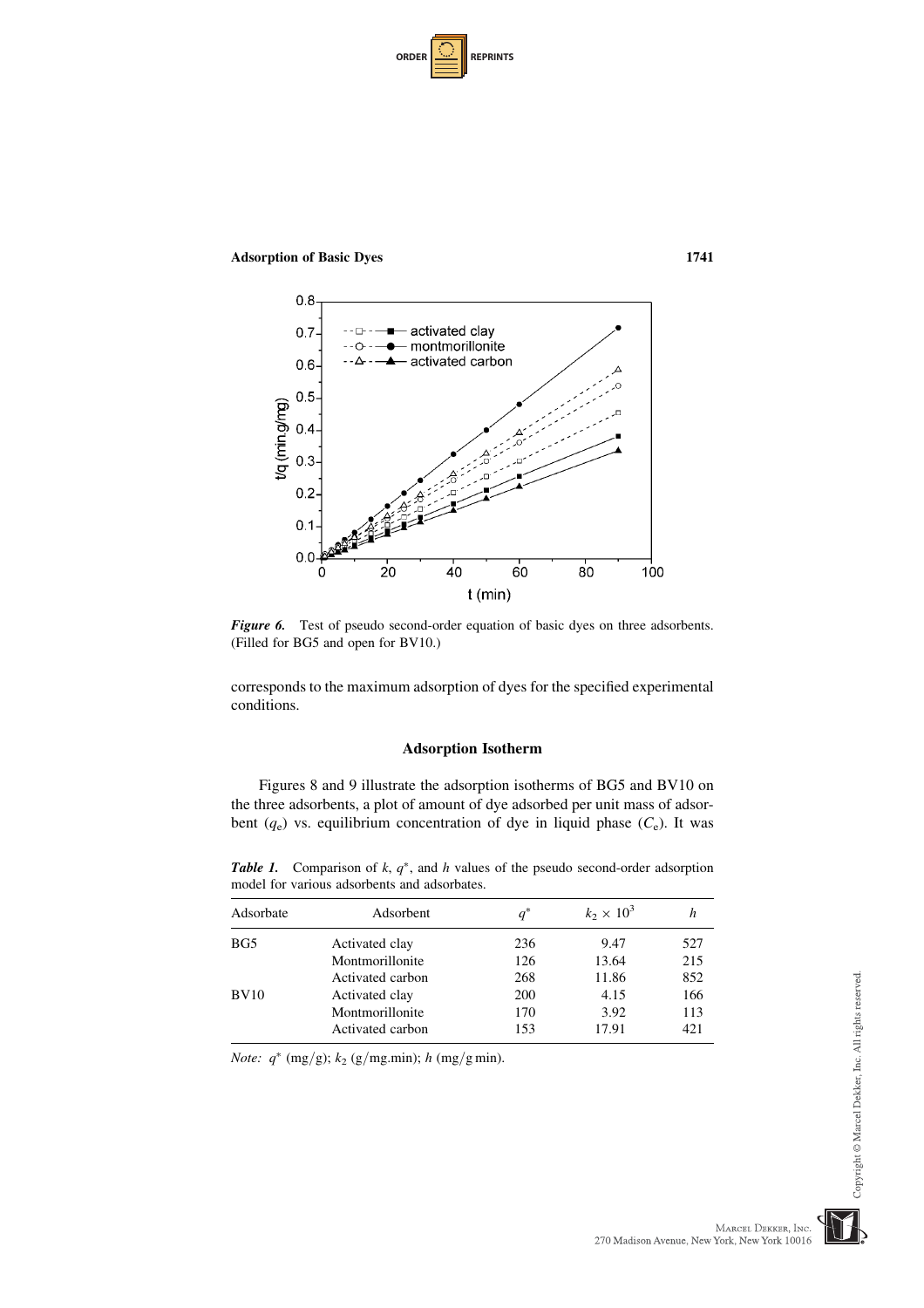



Figure 6. Test of pseudo second-order equation of basic dyes on three adsorbents. (Filled for BG5 and open for BV10.)

corresponds to the maximum adsorption of dyes for the specified experimental conditions.

### Adsorption Isotherm

Figures 8 and 9 illustrate the adsorption isotherms of BG5 and BV10 on the three adsorbents, a plot of amount of dye adsorbed per unit mass of adsorbent  $(q_e)$  vs. equilibrium concentration of dye in liquid phase  $(C_e)$ . It was

**Table 1.** Comparison of  $k$ ,  $q^*$ , and  $h$  values of the pseudo second-order adsorption model for various adsorbents and adsorbates.

| Adsorbate | Adsorbent        | $q^*$      | $k_2 \times 10^3$ | n    |
|-----------|------------------|------------|-------------------|------|
| BG5       | Activated clay   | 236        | 9.47              | 527  |
|           | Montmorillonite  | 126        | 13.64             | 215  |
|           | Activated carbon | 268        | 11.86             | 852  |
| BV10      | Activated clay   | <b>200</b> | 4.15              | 166  |
|           | Montmorillonite  | 170        | 3.92              | 113  |
|           | Activated carbon | 153        | 17.91             | 42.1 |

*Note:*  $q^*$  (mg/g);  $k_2$  (g/mg.min); h (mg/g min).



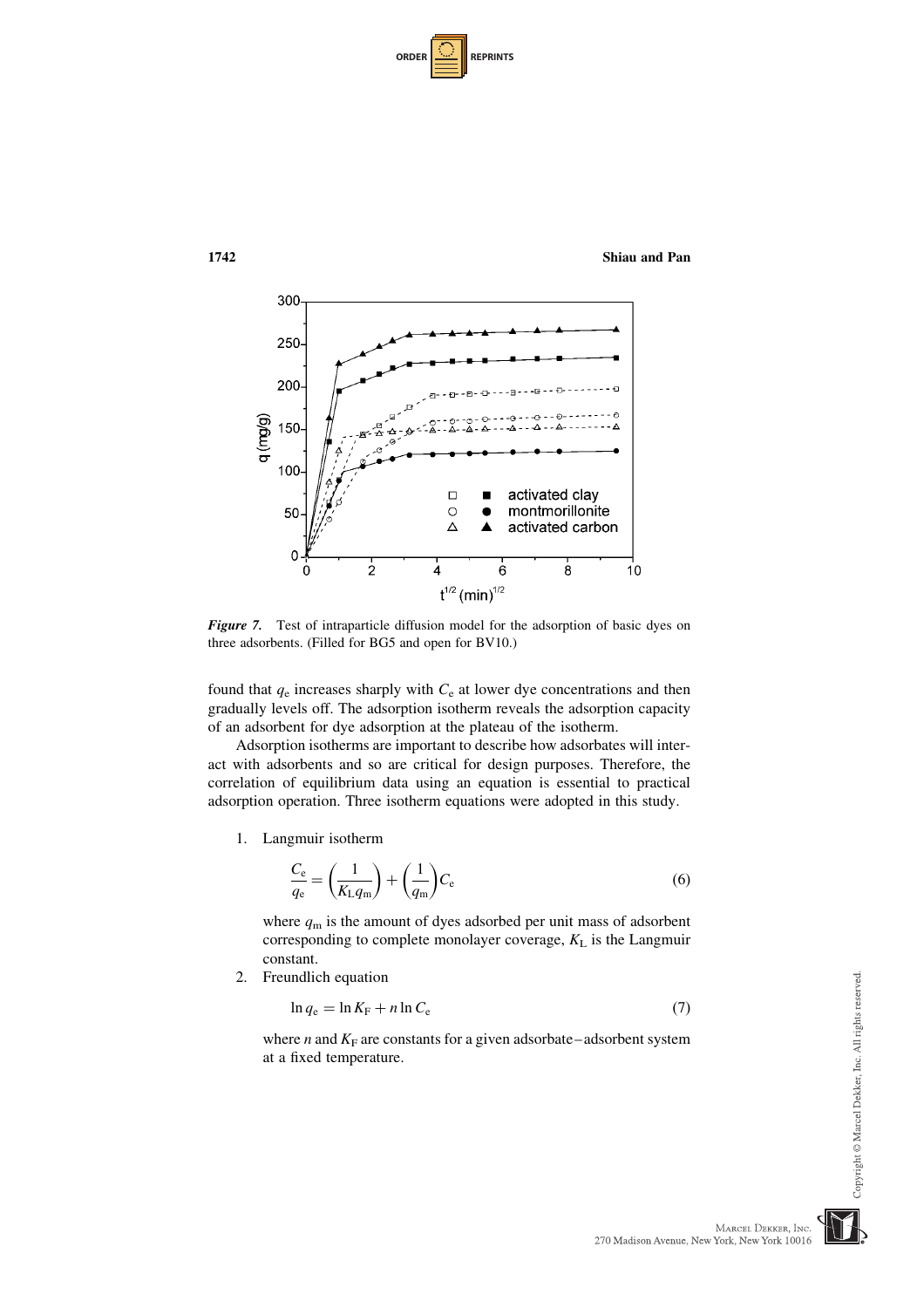| <b>ORDER</b> |  | <b>REPRINTS</b> |
|--------------|--|-----------------|
|--------------|--|-----------------|



Figure 7. Test of intraparticle diffusion model for the adsorption of basic dyes on three adsorbents. (Filled for BG5 and open for BV10.)

found that  $q_e$  increases sharply with  $C_e$  at lower dye concentrations and then gradually levels off. The adsorption isotherm reveals the adsorption capacity of an adsorbent for dye adsorption at the plateau of the isotherm.

Adsorption isotherms are important to describe how adsorbates will interact with adsorbents and so are critical for design purposes. Therefore, the correlation of equilibrium data using an equation is essential to practical adsorption operation. Three isotherm equations were adopted in this study.

1. Langmuir isotherm

$$
\frac{C_{\rm e}}{q_{\rm e}} = \left(\frac{1}{K_{\rm L}q_{\rm m}}\right) + \left(\frac{1}{q_{\rm m}}\right)C_{\rm e}
$$
\n(6)

where  $q_m$  is the amount of dyes adsorbed per unit mass of adsorbent corresponding to complete monolayer coverage,  $K<sub>L</sub>$  is the Langmuir constant.

2. Freundlich equation

$$
\ln q_{\rm e} = \ln K_{\rm F} + n \ln C_{\rm e} \tag{7}
$$

where *n* and  $K_F$  are constants for a given adsorbate–adsorbent system at a fixed temperature.

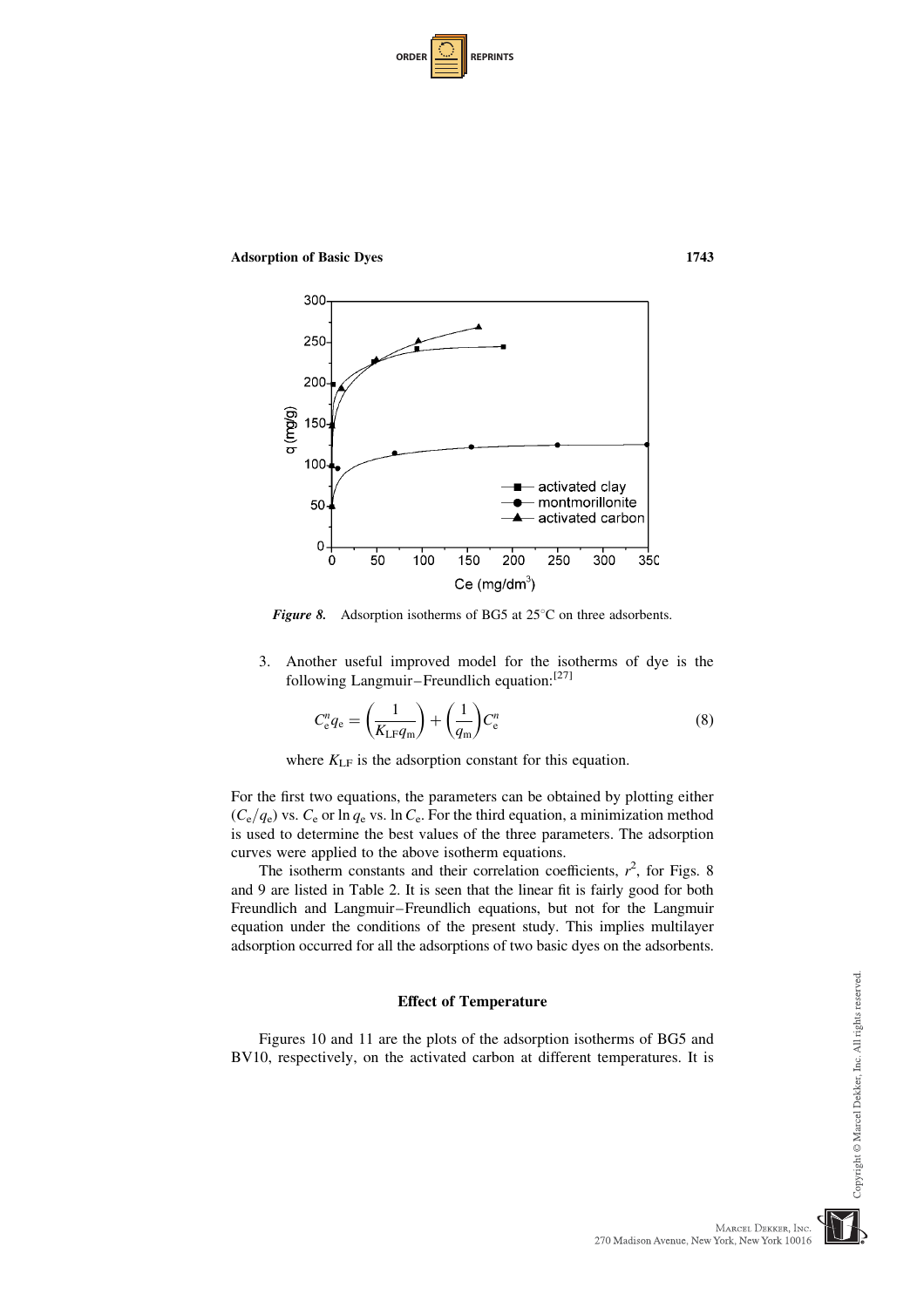| <b>ORDER</b> |  | <b>REPRINTS</b> |
|--------------|--|-----------------|
|--------------|--|-----------------|

Adsorption of Basic Dyes 1743



Figure 8. Adsorption isotherms of BG5 at  $25^{\circ}$ C on three adsorbents.

3. Another useful improved model for the isotherms of dye is the following Langmuir–Freundlich equation:<sup>[27]</sup>

$$
C_{\rm e}^n q_{\rm e} = \left(\frac{1}{K_{\rm LF} q_{\rm m}}\right) + \left(\frac{1}{q_{\rm m}}\right) C_{\rm e}^n \tag{8}
$$

where  $K_{LF}$  is the adsorption constant for this equation.

For the first two equations, the parameters can be obtained by plotting either  $(C_e/q_e)$  vs.  $C_e$  or ln  $q_e$  vs. ln  $C_e$ . For the third equation, a minimization method is used to determine the best values of the three parameters. The adsorption curves were applied to the above isotherm equations.

The isotherm constants and their correlation coefficients,  $r^2$ , for Figs. 8 and 9 are listed in Table 2. It is seen that the linear fit is fairly good for both Freundlich and Langmuir–Freundlich equations, but not for the Langmuir equation under the conditions of the present study. This implies multilayer adsorption occurred for all the adsorptions of two basic dyes on the adsorbents.

#### Effect of Temperature

Figures 10 and 11 are the plots of the adsorption isotherms of BG5 and BV10, respectively, on the activated carbon at different temperatures. It is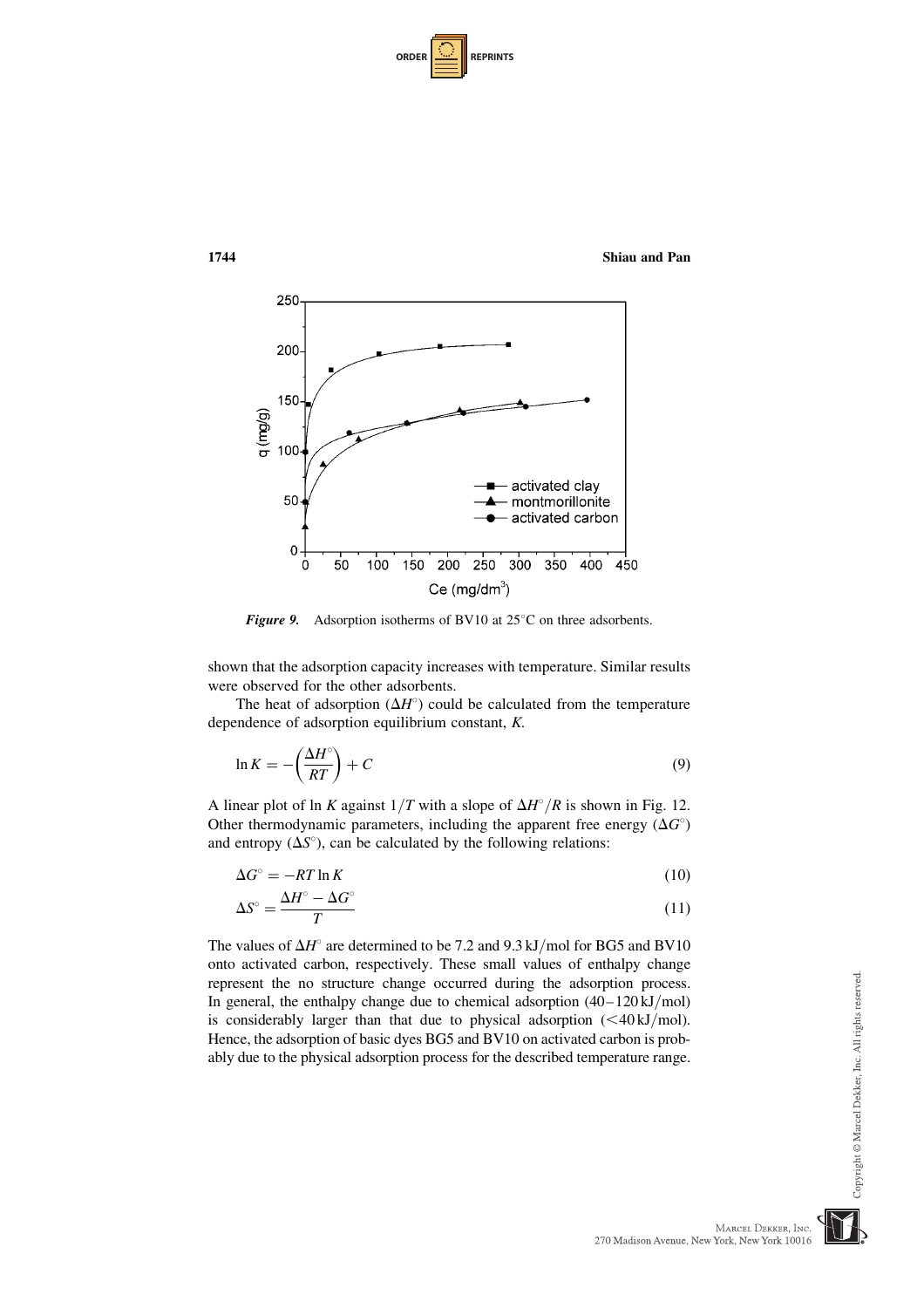| <b>ORDER I</b> |  | <b>REPRINTS</b> |
|----------------|--|-----------------|
|----------------|--|-----------------|



**Figure 9.** Adsorption isotherms of BV10 at  $25^{\circ}$ C on three adsorbents.

shown that the adsorption capacity increases with temperature. Similar results were observed for the other adsorbents.

The heat of adsorption  $(\Delta H^{\circ})$  could be calculated from the temperature dependence of adsorption equilibrium constant, K.

$$
\ln K = -\left(\frac{\Delta H^{\circ}}{RT}\right) + C\tag{9}
$$

A linear plot of ln K against  $1/T$  with a slope of  $\Delta H^{\circ}/R$  is shown in Fig. 12. Other thermodynamic parameters, including the apparent free energy  $(\Delta G^{\circ})$ and entropy  $(\Delta S^{\circ})$ , can be calculated by the following relations:

$$
\Delta G^{\circ} = -RT \ln K \tag{10}
$$

$$
\Delta S^{\circ} = \frac{\Delta H^{\circ} - \Delta G^{\circ}}{T} \tag{11}
$$

The values of  $\Delta H^{\circ}$  are determined to be 7.2 and 9.3 kJ/mol for BG5 and BV10 onto activated carbon, respectively. These small values of enthalpy change represent the no structure change occurred during the adsorption process. In general, the enthalpy change due to chemical adsorption  $(40-120 \text{ kJ/mol})$ is considerably larger than that due to physical adsorption  $( $40 \text{ kJ/mol}$ ).$ Hence, the adsorption of basic dyes BG5 and BV10 on activated carbon is probably due to the physical adsorption process for the described temperature range.

Copyright © Marcel Dekker, Inc. All rights reserved.

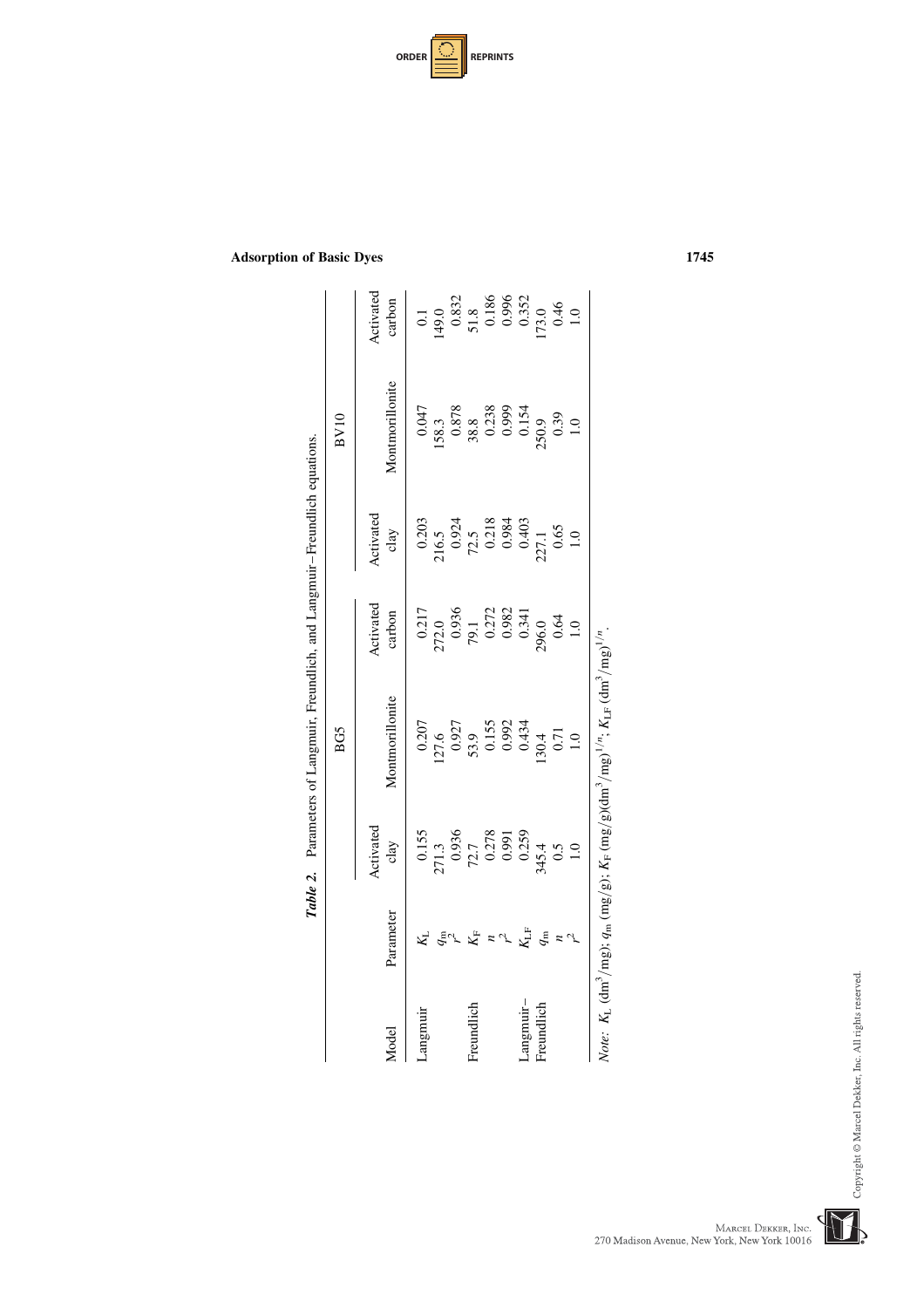| <b>ORDER I</b> |  | <b>REPRINTS</b> |
|----------------|--|-----------------|
|----------------|--|-----------------|

|              |              |                                                                                                    | BG5                                                                                       |                                                                          |                                                                          | BV10                                      |                                                           |
|--------------|--------------|----------------------------------------------------------------------------------------------------|-------------------------------------------------------------------------------------------|--------------------------------------------------------------------------|--------------------------------------------------------------------------|-------------------------------------------|-----------------------------------------------------------|
| <b>Model</b> | Parameter    | Activated<br>clay                                                                                  | Montmorillonite                                                                           | Activated<br>carbon                                                      | Activated<br>clay                                                        | Montmorillonite                           | Activated<br>carbon                                       |
| angmuir      |              |                                                                                                    | 0.207                                                                                     | 0.217                                                                    |                                                                          | 0.047                                     |                                                           |
|              |              |                                                                                                    |                                                                                           |                                                                          |                                                                          |                                           |                                                           |
|              | $q_{\rm m}$  | $\begin{array}{r} 0.155 \\ 271.3 \\ 0.936 \\ 72.7 \\ 0.278 \\ 0.091 \\ 0.991 \\ 0.259 \end{array}$ | $\begin{array}{c} 127.6 \\ 0.927 \\ 53.9 \\ 0.155 \\ 0.992 \\ 0.992 \\ 0.434 \end{array}$ | $272.0$<br>$0.936$<br>$79.1$<br>$0.272$<br>$0.982$<br>$0.341$<br>$0.341$ | $0.203$<br>$216.5$<br>$0.924$<br>$72.5$<br>$0.218$<br>$0.984$<br>$0.984$ | $[58.3\n0.878\n38.8\n0.238\n0.999\n0.154$ | $149.0$<br>$149.0$<br>$0.832$<br>$51.8$<br>0.186<br>0.352 |
| Freundlich   | $K_{\!F}$    |                                                                                                    |                                                                                           |                                                                          |                                                                          |                                           |                                                           |
|              |              |                                                                                                    |                                                                                           |                                                                          |                                                                          |                                           |                                                           |
|              |              |                                                                                                    |                                                                                           |                                                                          |                                                                          |                                           |                                                           |
| -angmuir-    | $K_{\rm LF}$ |                                                                                                    |                                                                                           |                                                                          |                                                                          |                                           |                                                           |
| reundlich    |              | \$45.4                                                                                             | 130.4                                                                                     |                                                                          | 27.1                                                                     | 250.9<br>0.39                             | 73.0                                                      |
|              |              | 0.5                                                                                                | 0.71                                                                                      | 0.64                                                                     | 0.65                                                                     |                                           | 0.46                                                      |
|              |              | $\overline{1.0}$                                                                                   | $\overline{1.0}$                                                                          | $\overline{1.0}$                                                         | $\overline{1.0}$                                                         | $\overline{1.0}$                          | $\ddot{=}$                                                |



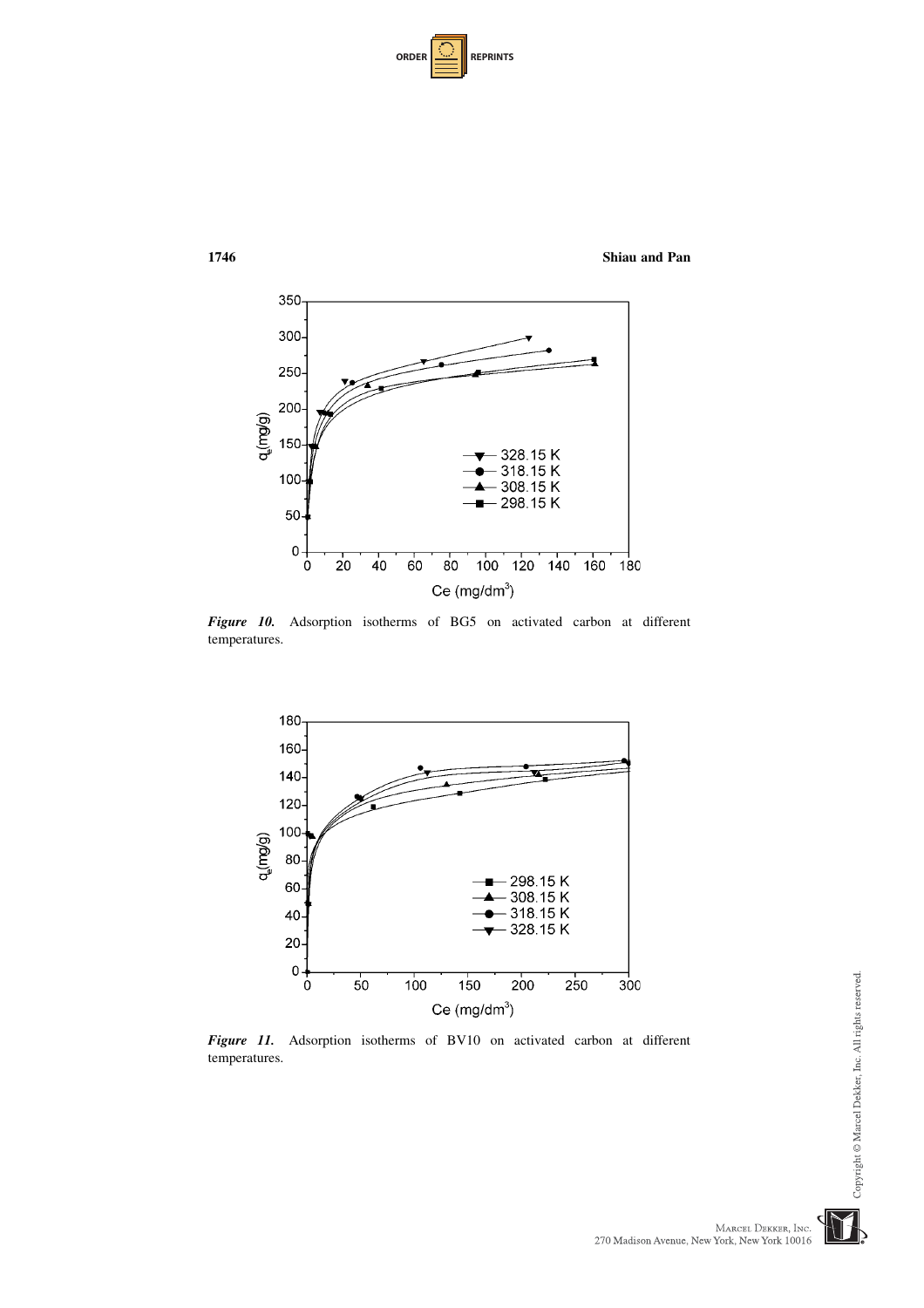| <b>ORDER</b> |  | <b>REPRINTS</b> |
|--------------|--|-----------------|
|--------------|--|-----------------|



Figure 10. Adsorption isotherms of BG5 on activated carbon at different temperatures.



Figure 11. Adsorption isotherms of BV10 on activated carbon at different temperatures.

Copyright @ Marcel Dekker, Inc. All rights reserved.

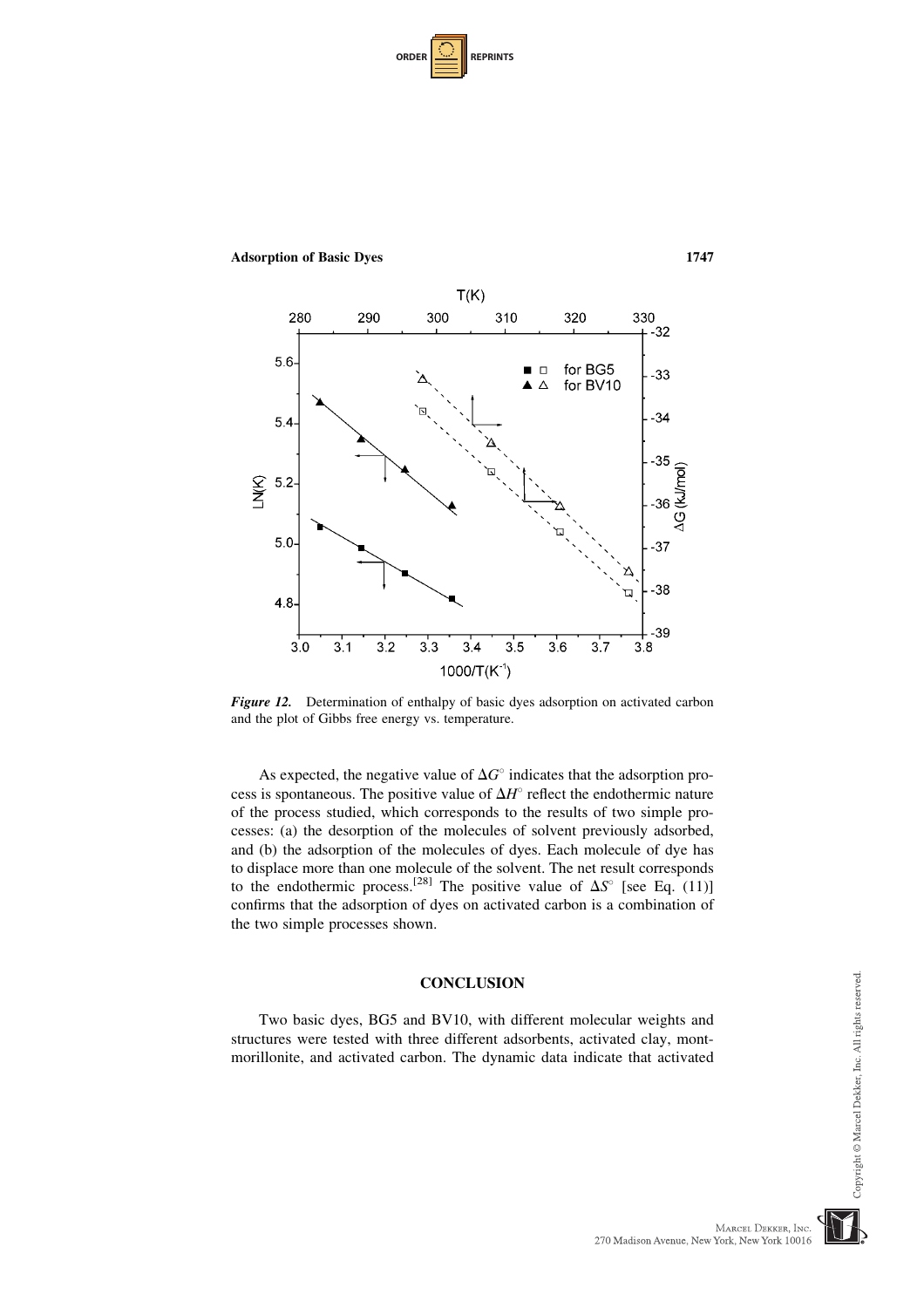| <b>ORDER</b> |  | <b>REPRINTS</b> |
|--------------|--|-----------------|
|--------------|--|-----------------|



Adsorption of Basic Dyes 1747

Figure 12. Determination of enthalpy of basic dyes adsorption on activated carbon and the plot of Gibbs free energy vs. temperature.

As expected, the negative value of  $\Delta G^{\circ}$  indicates that the adsorption process is spontaneous. The positive value of  $\Delta H^{\circ}$  reflect the endothermic nature of the process studied, which corresponds to the results of two simple processes: (a) the desorption of the molecules of solvent previously adsorbed, and (b) the adsorption of the molecules of dyes. Each molecule of dye has to displace more than one molecule of the solvent. The net result corresponds to the endothermic process.<sup>[28]</sup> The positive value of  $\Delta S^{\circ}$  [see Eq. (11)] confirms that the adsorption of dyes on activated carbon is a combination of the two simple processes shown.

# **CONCLUSION**

Two basic dyes, BG5 and BV10, with different molecular weights and structures were tested with three different adsorbents, activated clay, montmorillonite, and activated carbon. The dynamic data indicate that activated Copyright © Marcel Dekker, Inc. All rights reserved.

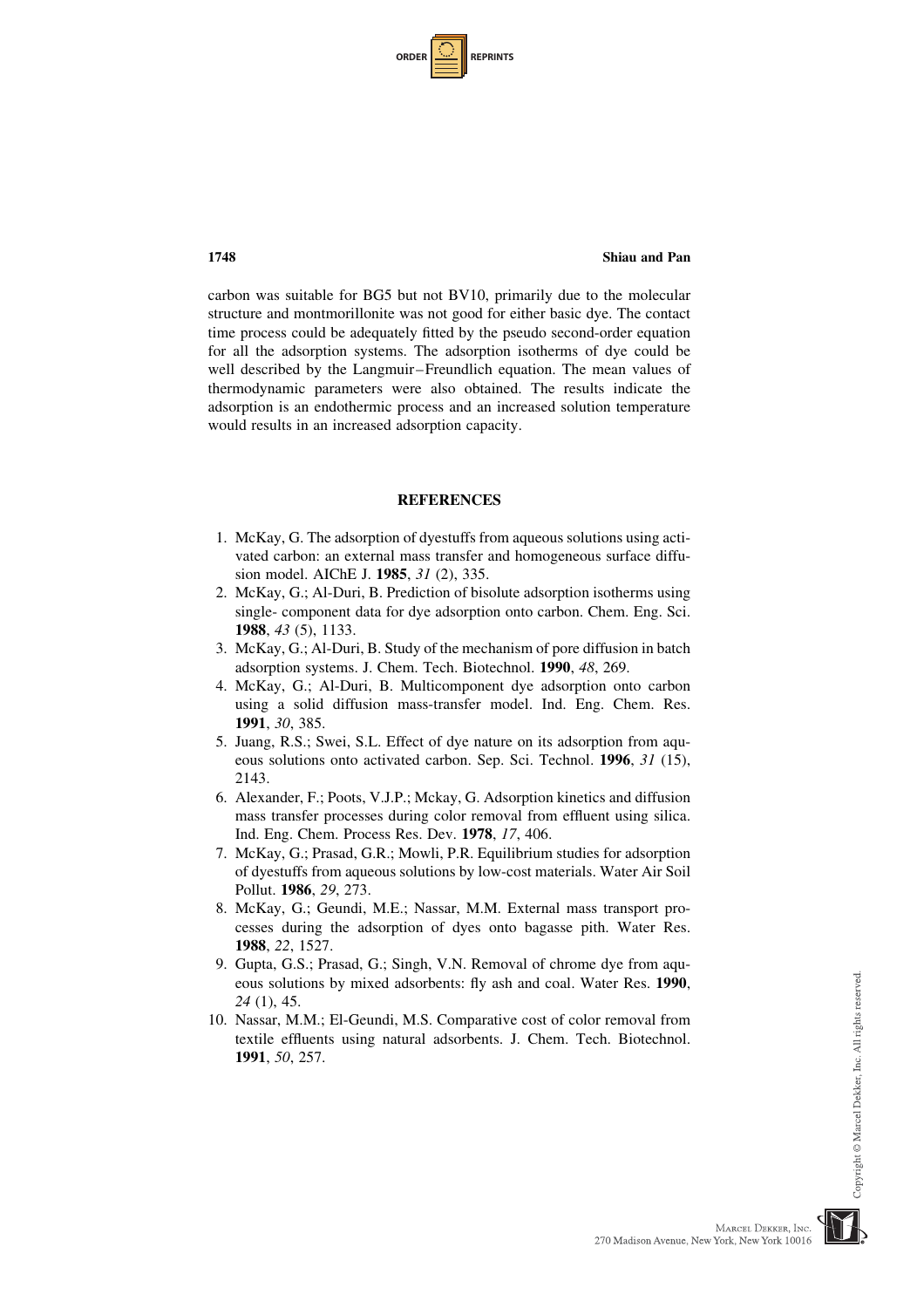| <b>ORDER</b> |  | <b>REPRINTS</b> |
|--------------|--|-----------------|
|--------------|--|-----------------|

carbon was suitable for BG5 but not BV10, primarily due to the molecular structure and montmorillonite was not good for either basic dye. The contact time process could be adequately fitted by the pseudo second-order equation for all the adsorption systems. The adsorption isotherms of dye could be well described by the Langmuir–Freundlich equation. The mean values of thermodynamic parameters were also obtained. The results indicate the adsorption is an endothermic process and an increased solution temperature would results in an increased adsorption capacity.

# **REFERENCES**

- 1. McKay, G. The adsorption of dyestuffs from aqueous solutions using activated carbon: an external mass transfer and homogeneous surface diffusion model. AIChE J. 1985, 31 (2), 335.
- 2. McKay, G.; Al-Duri, B. Prediction of bisolute adsorption isotherms using single- component data for dye adsorption onto carbon. Chem. Eng. Sci. 1988, 43 (5), 1133.
- 3. McKay, G.; Al-Duri, B. Study of the mechanism of pore diffusion in batch adsorption systems. J. Chem. Tech. Biotechnol. 1990, 48, 269.
- 4. McKay, G.; Al-Duri, B. Multicomponent dye adsorption onto carbon using a solid diffusion mass-transfer model. Ind. Eng. Chem. Res. 1991, 30, 385.
- 5. Juang, R.S.; Swei, S.L. Effect of dye nature on its adsorption from aqueous solutions onto activated carbon. Sep. Sci. Technol. 1996, 31 (15), 2143.
- 6. Alexander, F.; Poots, V.J.P.; Mckay, G. Adsorption kinetics and diffusion mass transfer processes during color removal from effluent using silica. Ind. Eng. Chem. Process Res. Dev. 1978, 17, 406.
- 7. McKay, G.; Prasad, G.R.; Mowli, P.R. Equilibrium studies for adsorption of dyestuffs from aqueous solutions by low-cost materials. Water Air Soil Pollut. 1986, 29, 273.
- 8. McKay, G.; Geundi, M.E.; Nassar, M.M. External mass transport processes during the adsorption of dyes onto bagasse pith. Water Res. 1988, 22, 1527.
- 9. Gupta, G.S.; Prasad, G.; Singh, V.N. Removal of chrome dye from aqueous solutions by mixed adsorbents: fly ash and coal. Water Res. 1990, 24 (1), 45.
- 10. Nassar, M.M.; El-Geundi, M.S. Comparative cost of color removal from textile effluents using natural adsorbents. J. Chem. Tech. Biotechnol. 1991, 50, 257.

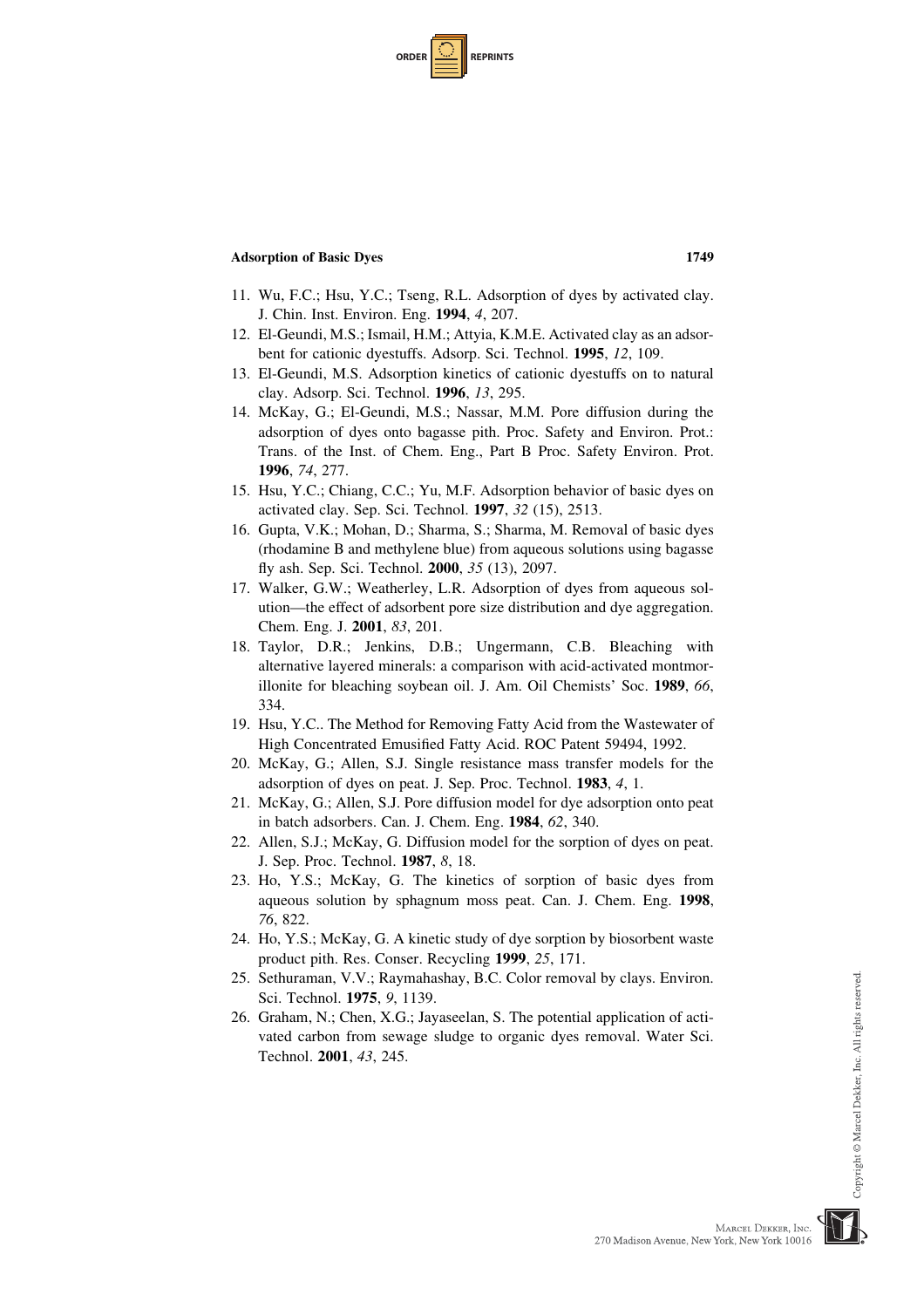| <b>ORDER</b> | <b>REPRINTS</b> |
|--------------|-----------------|
|--------------|-----------------|

- 11. Wu, F.C.; Hsu, Y.C.; Tseng, R.L. Adsorption of dyes by activated clay. J. Chin. Inst. Environ. Eng. 1994, 4, 207.
- 12. El-Geundi, M.S.; Ismail, H.M.; Attyia, K.M.E. Activated clay as an adsorbent for cationic dyestuffs. Adsorp. Sci. Technol. 1995, 12, 109.
- 13. El-Geundi, M.S. Adsorption kinetics of cationic dyestuffs on to natural clay. Adsorp. Sci. Technol. 1996, 13, 295.
- 14. McKay, G.; El-Geundi, M.S.; Nassar, M.M. Pore diffusion during the adsorption of dyes onto bagasse pith. Proc. Safety and Environ. Prot.: Trans. of the Inst. of Chem. Eng., Part B Proc. Safety Environ. Prot. 1996, 74, 277.
- 15. Hsu, Y.C.; Chiang, C.C.; Yu, M.F. Adsorption behavior of basic dyes on activated clay. Sep. Sci. Technol. 1997, 32 (15), 2513.
- 16. Gupta, V.K.; Mohan, D.; Sharma, S.; Sharma, M. Removal of basic dyes (rhodamine B and methylene blue) from aqueous solutions using bagasse fly ash. Sep. Sci. Technol. 2000, 35 (13), 2097.
- 17. Walker, G.W.; Weatherley, L.R. Adsorption of dyes from aqueous solution—the effect of adsorbent pore size distribution and dye aggregation. Chem. Eng. J. 2001, 83, 201.
- 18. Taylor, D.R.; Jenkins, D.B.; Ungermann, C.B. Bleaching with alternative layered minerals: a comparison with acid-activated montmorillonite for bleaching soybean oil. J. Am. Oil Chemists' Soc. 1989, 66, 334.
- 19. Hsu, Y.C.. The Method for Removing Fatty Acid from the Wastewater of High Concentrated Emusified Fatty Acid. ROC Patent 59494, 1992.
- 20. McKay, G.; Allen, S.J. Single resistance mass transfer models for the adsorption of dyes on peat. J. Sep. Proc. Technol. 1983, 4, 1.
- 21. McKay, G.; Allen, S.J. Pore diffusion model for dye adsorption onto peat in batch adsorbers. Can. J. Chem. Eng. 1984, 62, 340.
- 22. Allen, S.J.; McKay, G. Diffusion model for the sorption of dyes on peat. J. Sep. Proc. Technol. 1987, 8, 18.
- 23. Ho, Y.S.; McKay, G. The kinetics of sorption of basic dyes from aqueous solution by sphagnum moss peat. Can. J. Chem. Eng. 1998, 76, 822.
- 24. Ho, Y.S.; McKay, G. A kinetic study of dye sorption by biosorbent waste product pith. Res. Conser. Recycling 1999, 25, 171.
- 25. Sethuraman, V.V.; Raymahashay, B.C. Color removal by clays. Environ. Sci. Technol. 1975, 9, 1139.
- 26. Graham, N.; Chen, X.G.; Jayaseelan, S. The potential application of activated carbon from sewage sludge to organic dyes removal. Water Sci. Technol. 2001, 43, 245.



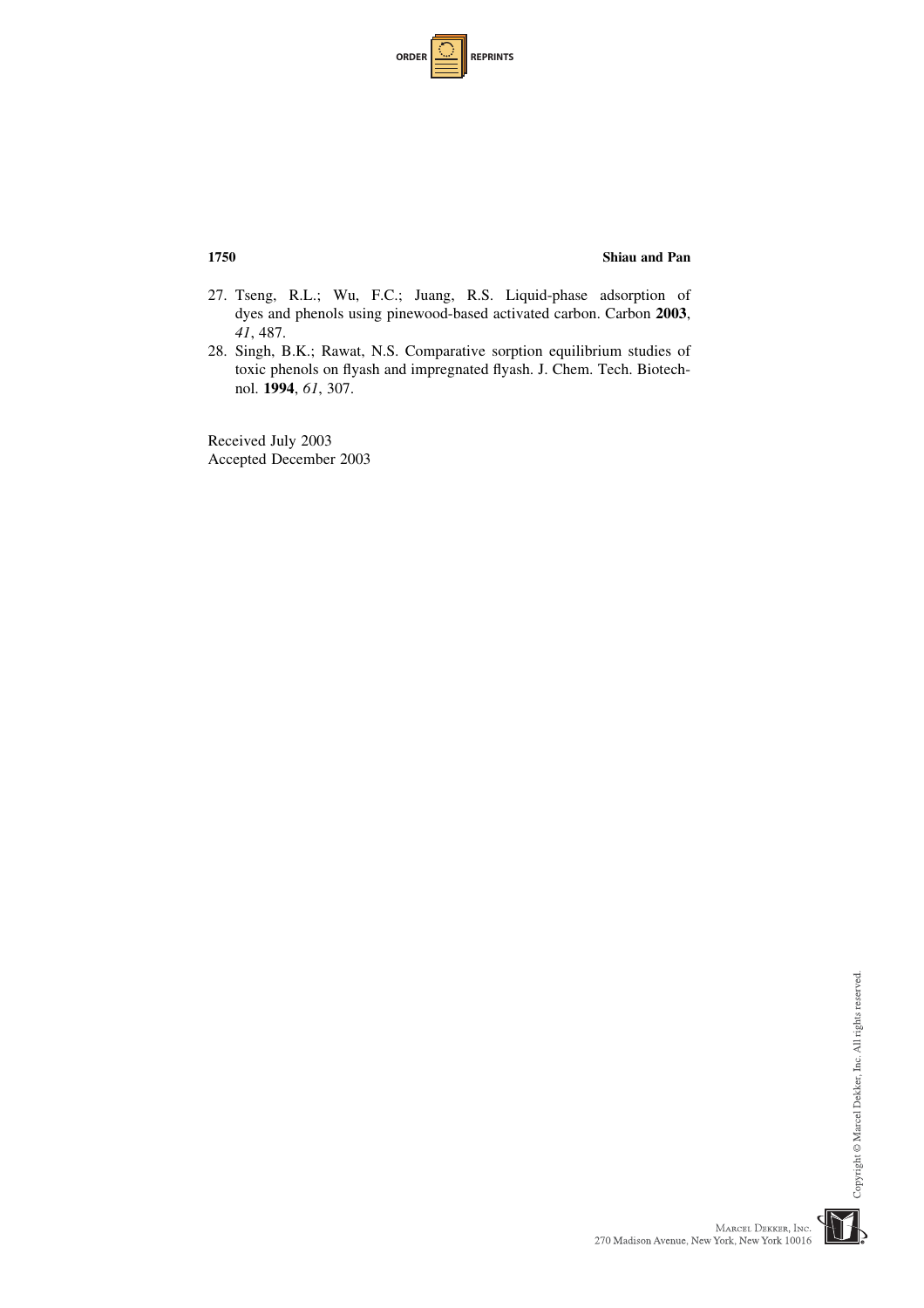| <b>ORDER</b> |  | <b>REPRINTS</b> |
|--------------|--|-----------------|
|--------------|--|-----------------|

- 27. Tseng, R.L.; Wu, F.C.; Juang, R.S. Liquid-phase adsorption of dyes and phenols using pinewood-based activated carbon. Carbon 2003, 41, 487.
- 28. Singh, B.K.; Rawat, N.S. Comparative sorption equilibrium studies of toxic phenols on flyash and impregnated flyash. J. Chem. Tech. Biotechnol. 1994, 61, 307.

Received July 2003 Accepted December 2003